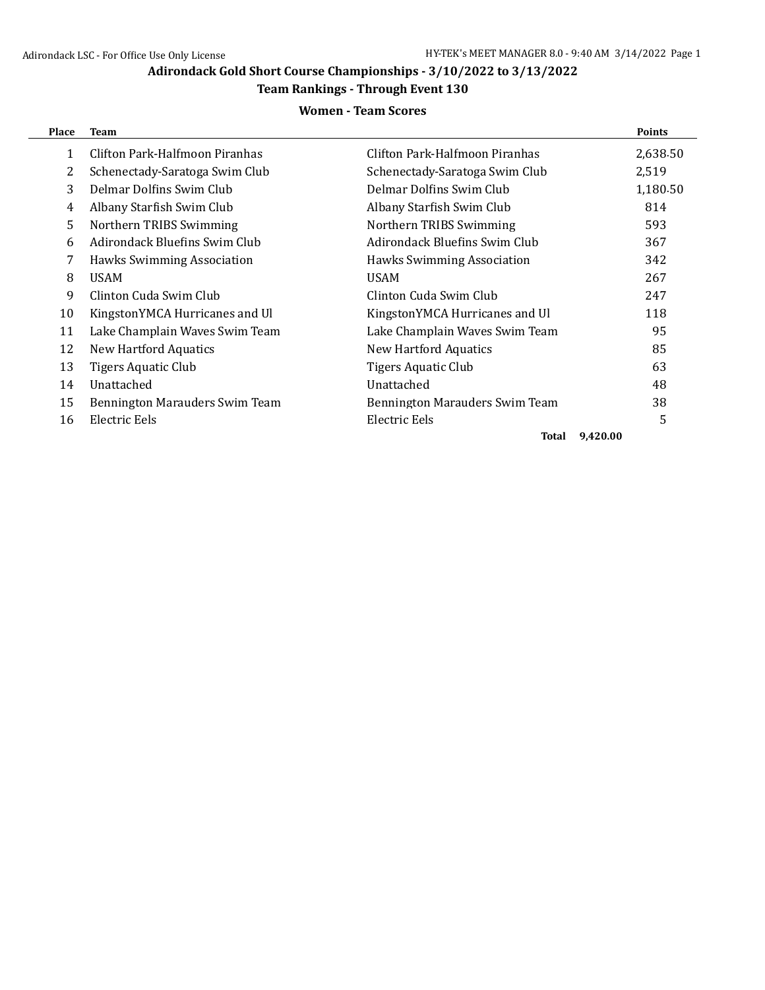## **Adirondack Gold Short Course Championships - 3/10/2022 to 3/13/2022**

# **Team Rankings - Through Event 130**

#### **Women - Team Scores**

| <b>Place</b> | <b>Team</b>                    |                                   | <b>Points</b> |
|--------------|--------------------------------|-----------------------------------|---------------|
| 1            | Clifton Park-Halfmoon Piranhas | Clifton Park-Halfmoon Piranhas    | 2,638.50      |
| 2            | Schenectady-Saratoga Swim Club | Schenectady-Saratoga Swim Club    | 2,519         |
| 3            | Delmar Dolfins Swim Club       | Delmar Dolfins Swim Club          | 1,180.50      |
| 4            | Albany Starfish Swim Club      | Albany Starfish Swim Club         | 814           |
| 5            | Northern TRIBS Swimming        | Northern TRIBS Swimming           | 593           |
| 6            | Adirondack Bluefins Swim Club  | Adirondack Bluefins Swim Club     | 367           |
| 7            | Hawks Swimming Association     | <b>Hawks Swimming Association</b> | 342           |
| 8            | <b>USAM</b>                    | <b>USAM</b>                       | 267           |
| 9            | Clinton Cuda Swim Club         | Clinton Cuda Swim Club            | 247           |
| 10           | KingstonYMCA Hurricanes and Ul | KingstonYMCA Hurricanes and Ul    | 118           |
| 11           | Lake Champlain Waves Swim Team | Lake Champlain Waves Swim Team    | 95            |
| 12           | New Hartford Aquatics          | <b>New Hartford Aquatics</b>      | 85            |
| 13           | Tigers Aquatic Club            | Tigers Aquatic Club               | 63            |
| 14           | Unattached                     | Unattached                        | 48            |
| 15           | Bennington Marauders Swim Team | Bennington Marauders Swim Team    | 38            |
| 16           | Electric Eels                  | Electric Eels                     | 5             |
|              |                                | 9,420.00<br>Total                 |               |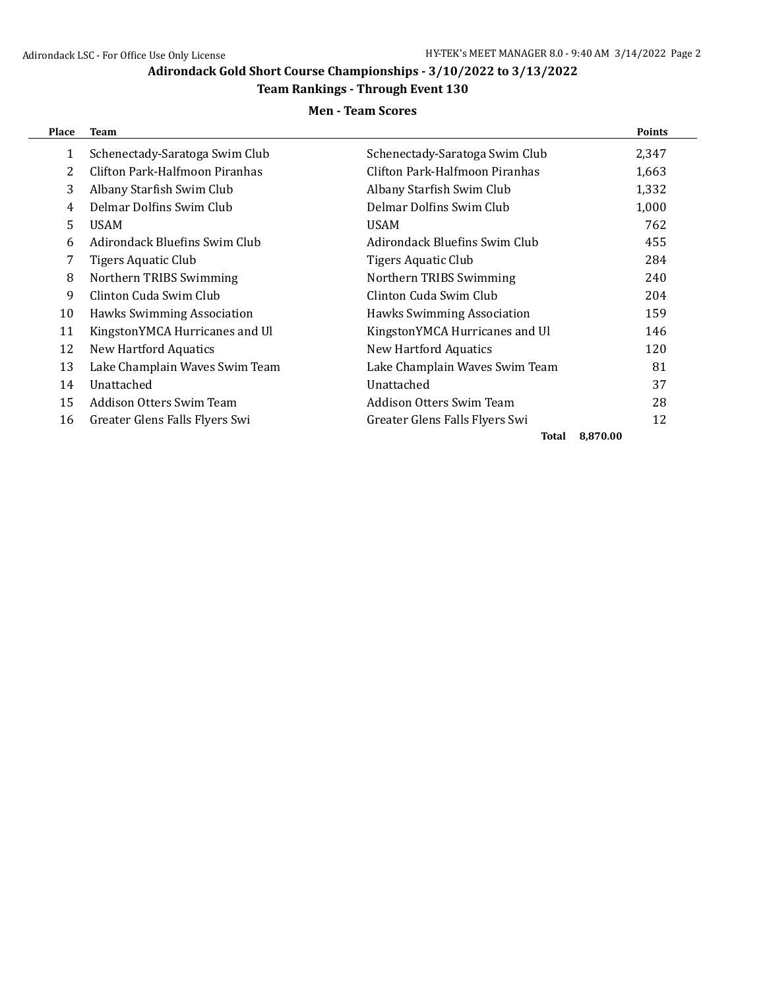## **Adirondack Gold Short Course Championships - 3/10/2022 to 3/13/2022**

## **Team Rankings - Through Event 130**

#### **Men - Team Scores**

| <b>Place</b> | <b>Team</b>                       |                                   | <b>Points</b> |
|--------------|-----------------------------------|-----------------------------------|---------------|
| 1            | Schenectady-Saratoga Swim Club    | Schenectady-Saratoga Swim Club    | 2,347         |
| 2            | Clifton Park-Halfmoon Piranhas    | Clifton Park-Halfmoon Piranhas    | 1,663         |
| 3            | Albany Starfish Swim Club         | Albany Starfish Swim Club         | 1,332         |
| 4            | Delmar Dolfins Swim Club          | Delmar Dolfins Swim Club          | 1,000         |
| 5            | <b>USAM</b>                       | <b>USAM</b>                       | 762           |
| 6            | Adirondack Bluefins Swim Club     | Adirondack Bluefins Swim Club     | 455           |
| 7            | Tigers Aquatic Club               | Tigers Aquatic Club               | 284           |
| 8            | Northern TRIBS Swimming           | Northern TRIBS Swimming           | 240           |
| 9            | Clinton Cuda Swim Club            | Clinton Cuda Swim Club            | 204           |
| 10           | <b>Hawks Swimming Association</b> | <b>Hawks Swimming Association</b> | 159           |
| 11           | KingstonYMCA Hurricanes and Ul    | KingstonYMCA Hurricanes and Ul    | 146           |
| 12           | <b>New Hartford Aquatics</b>      | <b>New Hartford Aquatics</b>      | 120           |
| 13           | Lake Champlain Waves Swim Team    | Lake Champlain Waves Swim Team    | 81            |
| 14           | Unattached                        | Unattached                        | 37            |
| 15           | Addison Otters Swim Team          | Addison Otters Swim Team          | 28            |
| 16           | Greater Glens Falls Flyers Swi    | Greater Glens Falls Flyers Swi    | 12            |
|              |                                   | Total                             | 8,870.00      |